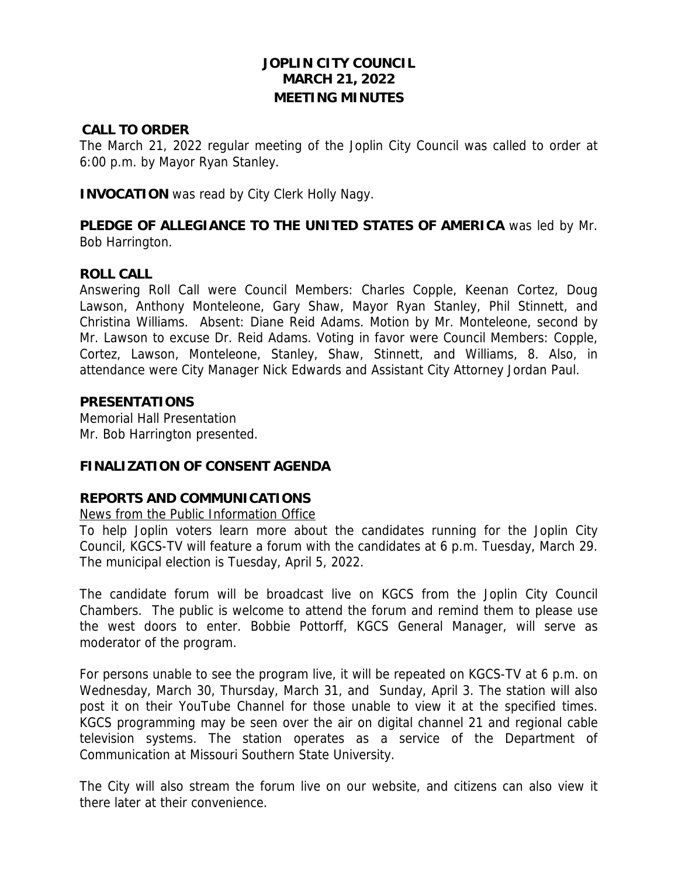# **JOPLIN CITY COUNCIL MARCH 21, 2022 MEETING MINUTES**

#### **CALL TO ORDER**

The March 21, 2022 regular meeting of the Joplin City Council was called to order at 6:00 p.m. by Mayor Ryan Stanley.

**INVOCATION** was read by City Clerk Holly Nagy.

**PLEDGE OF ALLEGIANCE TO THE UNITED STATES OF AMERICA** was led by Mr. Bob Harrington.

### **ROLL CALL**

Answering Roll Call were Council Members: Charles Copple, Keenan Cortez, Doug Lawson, Anthony Monteleone, Gary Shaw, Mayor Ryan Stanley, Phil Stinnett, and Christina Williams. Absent: Diane Reid Adams. Motion by Mr. Monteleone, second by Mr. Lawson to excuse Dr. Reid Adams. Voting in favor were Council Members: Copple, Cortez, Lawson, Monteleone, Stanley, Shaw, Stinnett, and Williams, 8. Also, in attendance were City Manager Nick Edwards and Assistant City Attorney Jordan Paul.

#### **PRESENTATIONS**

Memorial Hall Presentation Mr. Bob Harrington presented.

### **FINALIZATION OF CONSENT AGENDA**

#### **REPORTS AND COMMUNICATIONS**

#### News from the Public Information Office

To help Joplin voters learn more about the candidates running for the Joplin City Council, KGCS-TV will feature a forum with the candidates at 6 p.m. Tuesday, March 29. The municipal election is Tuesday, April 5, 2022.

The candidate forum will be broadcast live on KGCS from the Joplin City Council Chambers. The public is welcome to attend the forum and remind them to please use the west doors to enter. Bobbie Pottorff, KGCS General Manager, will serve as moderator of the program.

For persons unable to see the program live, it will be repeated on KGCS-TV at 6 p.m. on Wednesday, March 30, Thursday, March 31, and Sunday, April 3. The station will also post it on their YouTube Channel for those unable to view it at the specified times. KGCS programming may be seen over the air on digital channel 21 and regional cable television systems. The station operates as a service of the Department of Communication at Missouri Southern State University.

The City will also stream the forum live on our website, and citizens can also view it there later at their convenience.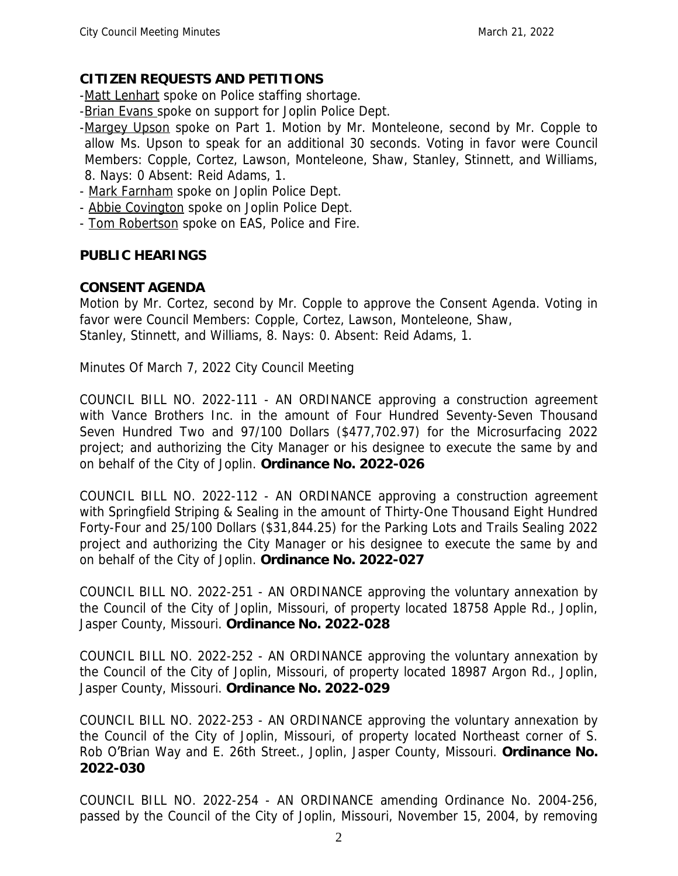# **CITIZEN REQUESTS AND PETITIONS**

-Matt Lenhart spoke on Police staffing shortage.

-Brian Evans spoke on support for Joplin Police Dept.

- -Margey Upson spoke on Part 1. Motion by Mr. Monteleone, second by Mr. Copple to allow Ms. Upson to speak for an additional 30 seconds. Voting in favor were Council Members: Copple, Cortez, Lawson, Monteleone, Shaw, Stanley, Stinnett, and Williams, 8. Nays: 0 Absent: Reid Adams, 1.
- Mark Farnham spoke on Joplin Police Dept.
- Abbie Covington spoke on Joplin Police Dept.
- Tom Robertson spoke on EAS, Police and Fire.

# **PUBLIC HEARINGS**

# **CONSENT AGENDA**

Motion by Mr. Cortez, second by Mr. Copple to approve the Consent Agenda. Voting in favor were Council Members: Copple, Cortez, Lawson, Monteleone, Shaw, Stanley, Stinnett, and Williams, 8. Nays: 0. Absent: Reid Adams, 1.

Minutes Of March 7, 2022 City Council Meeting

COUNCIL BILL NO. 2022-111 - AN ORDINANCE approving a construction agreement with Vance Brothers Inc. in the amount of Four Hundred Seventy-Seven Thousand Seven Hundred Two and 97/100 Dollars (\$477,702.97) for the Microsurfacing 2022 project; and authorizing the City Manager or his designee to execute the same by and on behalf of the City of Joplin. **Ordinance No. 2022-026**

COUNCIL BILL NO. 2022-112 - AN ORDINANCE approving a construction agreement with Springfield Striping & Sealing in the amount of Thirty-One Thousand Eight Hundred Forty-Four and 25/100 Dollars (\$31,844.25) for the Parking Lots and Trails Sealing 2022 project and authorizing the City Manager or his designee to execute the same by and on behalf of the City of Joplin. **Ordinance No. 2022-027**

COUNCIL BILL NO. 2022-251 - AN ORDINANCE approving the voluntary annexation by the Council of the City of Joplin, Missouri, of property located 18758 Apple Rd., Joplin, Jasper County, Missouri. **Ordinance No. 2022-028**

COUNCIL BILL NO. 2022-252 - AN ORDINANCE approving the voluntary annexation by the Council of the City of Joplin, Missouri, of property located 18987 Argon Rd., Joplin, Jasper County, Missouri. **Ordinance No. 2022-029**

COUNCIL BILL NO. 2022-253 - AN ORDINANCE approving the voluntary annexation by the Council of the City of Joplin, Missouri, of property located Northeast corner of S. Rob O'Brian Way and E. 26th Street., Joplin, Jasper County, Missouri. **Ordinance No. 2022-030**

COUNCIL BILL NO. 2022-254 - AN ORDINANCE amending Ordinance No. 2004-256, passed by the Council of the City of Joplin, Missouri, November 15, 2004, by removing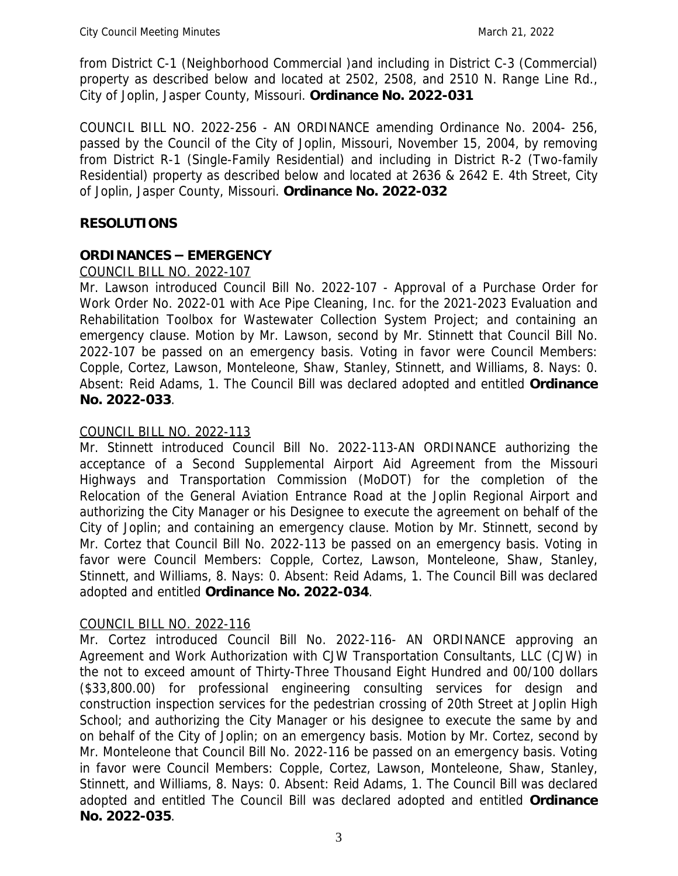from District C-1 (Neighborhood Commercial )and including in District C-3 (Commercial) property as described below and located at 2502, 2508, and 2510 N. Range Line Rd., City of Joplin, Jasper County, Missouri. **Ordinance No. 2022-031**

COUNCIL BILL NO. 2022-256 - AN ORDINANCE amending Ordinance No. 2004- 256, passed by the Council of the City of Joplin, Missouri, November 15, 2004, by removing from District R-1 (Single-Family Residential) and including in District R-2 (Two-family Residential) property as described below and located at 2636 & 2642 E. 4th Street, City of Joplin, Jasper County, Missouri. **Ordinance No. 2022-032**

# **RESOLUTIONS**

# **ORDINANCES – EMERGENCY**

### COUNCIL BILL NO. 2022-107

Mr. Lawson introduced Council Bill No. 2022-107 - Approval of a Purchase Order for Work Order No. 2022-01 with Ace Pipe Cleaning, Inc. for the 2021-2023 Evaluation and Rehabilitation Toolbox for Wastewater Collection System Project; and containing an emergency clause. Motion by Mr. Lawson, second by Mr. Stinnett that Council Bill No. 2022-107 be passed on an emergency basis. Voting in favor were Council Members: Copple, Cortez, Lawson, Monteleone, Shaw, Stanley, Stinnett, and Williams, 8. Nays: 0. Absent: Reid Adams, 1. The Council Bill was declared adopted and entitled **Ordinance No. 2022-033**.

# COUNCIL BILL NO. 2022-113

Mr. Stinnett introduced Council Bill No. 2022-113-AN ORDINANCE authorizing the acceptance of a Second Supplemental Airport Aid Agreement from the Missouri Highways and Transportation Commission (MoDOT) for the completion of the Relocation of the General Aviation Entrance Road at the Joplin Regional Airport and authorizing the City Manager or his Designee to execute the agreement on behalf of the City of Joplin; and containing an emergency clause. Motion by Mr. Stinnett, second by Mr. Cortez that Council Bill No. 2022-113 be passed on an emergency basis. Voting in favor were Council Members: Copple, Cortez, Lawson, Monteleone, Shaw, Stanley, Stinnett, and Williams, 8. Nays: 0. Absent: Reid Adams, 1. The Council Bill was declared adopted and entitled **Ordinance No. 2022-034**.

### COUNCIL BILL NO. 2022-116

Mr. Cortez introduced Council Bill No. 2022-116- AN ORDINANCE approving an Agreement and Work Authorization with CJW Transportation Consultants, LLC (CJW) in the not to exceed amount of Thirty-Three Thousand Eight Hundred and 00/100 dollars (\$33,800.00) for professional engineering consulting services for design and construction inspection services for the pedestrian crossing of 20th Street at Joplin High School; and authorizing the City Manager or his designee to execute the same by and on behalf of the City of Joplin; on an emergency basis. Motion by Mr. Cortez, second by Mr. Monteleone that Council Bill No. 2022-116 be passed on an emergency basis. Voting in favor were Council Members: Copple, Cortez, Lawson, Monteleone, Shaw, Stanley, Stinnett, and Williams, 8. Nays: 0. Absent: Reid Adams, 1. The Council Bill was declared adopted and entitled The Council Bill was declared adopted and entitled **Ordinance No. 2022-035**.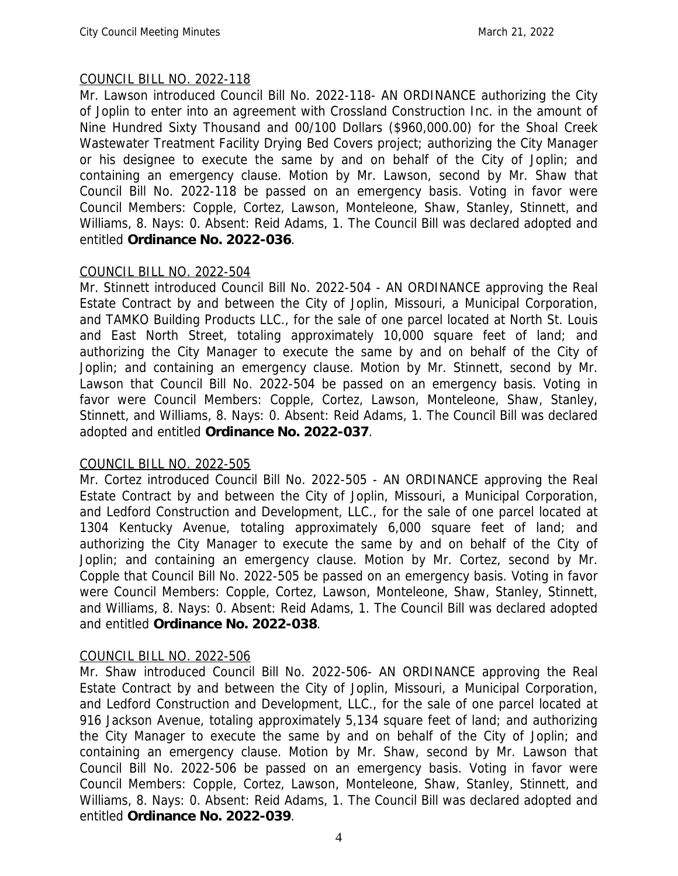### COUNCIL BILL NO. 2022-118

Mr. Lawson introduced Council Bill No. 2022-118- AN ORDINANCE authorizing the City of Joplin to enter into an agreement with Crossland Construction Inc. in the amount of Nine Hundred Sixty Thousand and 00/100 Dollars (\$960,000.00) for the Shoal Creek Wastewater Treatment Facility Drying Bed Covers project; authorizing the City Manager or his designee to execute the same by and on behalf of the City of Joplin; and containing an emergency clause. Motion by Mr. Lawson, second by Mr. Shaw that Council Bill No. 2022-118 be passed on an emergency basis. Voting in favor were Council Members: Copple, Cortez, Lawson, Monteleone, Shaw, Stanley, Stinnett, and Williams, 8. Nays: 0. Absent: Reid Adams, 1. The Council Bill was declared adopted and entitled **Ordinance No. 2022-036**.

### COUNCIL BILL NO. 2022-504

Mr. Stinnett introduced Council Bill No. 2022-504 - AN ORDINANCE approving the Real Estate Contract by and between the City of Joplin, Missouri, a Municipal Corporation, and TAMKO Building Products LLC., for the sale of one parcel located at North St. Louis and East North Street, totaling approximately 10,000 square feet of land; and authorizing the City Manager to execute the same by and on behalf of the City of Joplin; and containing an emergency clause. Motion by Mr. Stinnett, second by Mr. Lawson that Council Bill No. 2022-504 be passed on an emergency basis. Voting in favor were Council Members: Copple, Cortez, Lawson, Monteleone, Shaw, Stanley, Stinnett, and Williams, 8. Nays: 0. Absent: Reid Adams, 1. The Council Bill was declared adopted and entitled **Ordinance No. 2022-037**.

### COUNCIL BILL NO. 2022-505

Mr. Cortez introduced Council Bill No. 2022-505 - AN ORDINANCE approving the Real Estate Contract by and between the City of Joplin, Missouri, a Municipal Corporation, and Ledford Construction and Development, LLC., for the sale of one parcel located at 1304 Kentucky Avenue, totaling approximately 6,000 square feet of land; and authorizing the City Manager to execute the same by and on behalf of the City of Joplin; and containing an emergency clause. Motion by Mr. Cortez, second by Mr. Copple that Council Bill No. 2022-505 be passed on an emergency basis. Voting in favor were Council Members: Copple, Cortez, Lawson, Monteleone, Shaw, Stanley, Stinnett, and Williams, 8. Nays: 0. Absent: Reid Adams, 1. The Council Bill was declared adopted and entitled **Ordinance No. 2022-038**.

### COUNCIL BILL NO. 2022-506

Mr. Shaw introduced Council Bill No. 2022-506- AN ORDINANCE approving the Real Estate Contract by and between the City of Joplin, Missouri, a Municipal Corporation, and Ledford Construction and Development, LLC., for the sale of one parcel located at 916 Jackson Avenue, totaling approximately 5,134 square feet of land; and authorizing the City Manager to execute the same by and on behalf of the City of Joplin; and containing an emergency clause. Motion by Mr. Shaw, second by Mr. Lawson that Council Bill No. 2022-506 be passed on an emergency basis. Voting in favor were Council Members: Copple, Cortez, Lawson, Monteleone, Shaw, Stanley, Stinnett, and Williams, 8. Nays: 0. Absent: Reid Adams, 1. The Council Bill was declared adopted and entitled **Ordinance No. 2022-039**.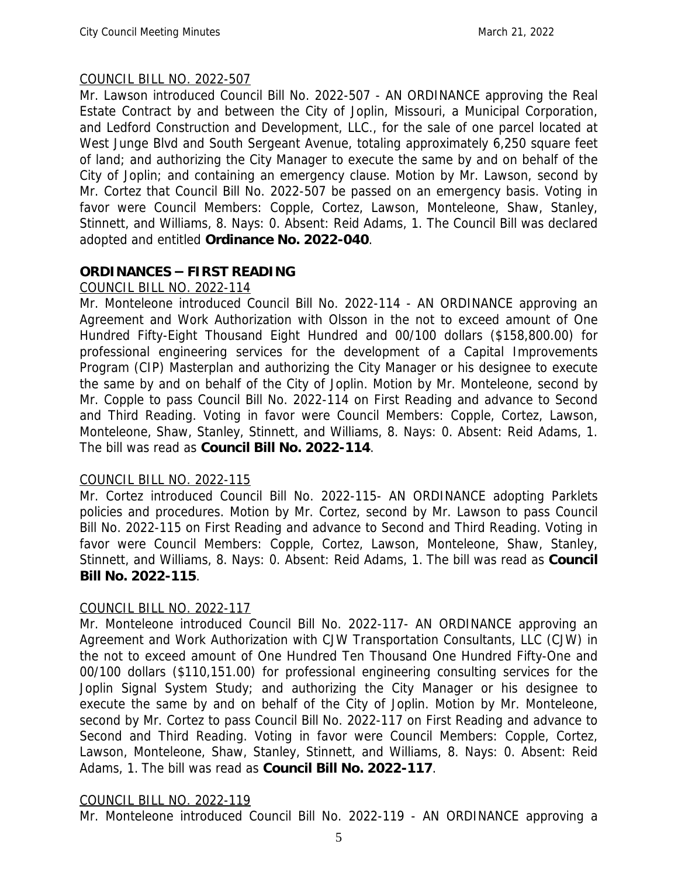### COUNCIL BILL NO. 2022-507

Mr. Lawson introduced Council Bill No. 2022-507 - AN ORDINANCE approving the Real Estate Contract by and between the City of Joplin, Missouri, a Municipal Corporation, and Ledford Construction and Development, LLC., for the sale of one parcel located at West Junge Blvd and South Sergeant Avenue, totaling approximately 6,250 square feet of land; and authorizing the City Manager to execute the same by and on behalf of the City of Joplin; and containing an emergency clause. Motion by Mr. Lawson, second by Mr. Cortez that Council Bill No. 2022-507 be passed on an emergency basis. Voting in favor were Council Members: Copple, Cortez, Lawson, Monteleone, Shaw, Stanley, Stinnett, and Williams, 8. Nays: 0. Absent: Reid Adams, 1. The Council Bill was declared adopted and entitled **Ordinance No. 2022-040**.

# **ORDINANCES – FIRST READING**

COUNCIL BILL NO. 2022-114

Mr. Monteleone introduced Council Bill No. 2022-114 - AN ORDINANCE approving an Agreement and Work Authorization with Olsson in the not to exceed amount of One Hundred Fifty-Eight Thousand Eight Hundred and 00/100 dollars (\$158,800.00) for professional engineering services for the development of a Capital Improvements Program (CIP) Masterplan and authorizing the City Manager or his designee to execute the same by and on behalf of the City of Joplin. Motion by Mr. Monteleone, second by Mr. Copple to pass Council Bill No. 2022-114 on First Reading and advance to Second and Third Reading. Voting in favor were Council Members: Copple, Cortez, Lawson, Monteleone, Shaw, Stanley, Stinnett, and Williams, 8. Nays: 0. Absent: Reid Adams, 1. The bill was read as **Council Bill No. 2022-114**.

### COUNCIL BILL NO. 2022-115

Mr. Cortez introduced Council Bill No. 2022-115- AN ORDINANCE adopting Parklets policies and procedures. Motion by Mr. Cortez, second by Mr. Lawson to pass Council Bill No. 2022-115 on First Reading and advance to Second and Third Reading. Voting in favor were Council Members: Copple, Cortez, Lawson, Monteleone, Shaw, Stanley, Stinnett, and Williams, 8. Nays: 0. Absent: Reid Adams, 1. The bill was read as **Council Bill No. 2022-115**.

# COUNCIL BILL NO. 2022-117

Mr. Monteleone introduced Council Bill No. 2022-117- AN ORDINANCE approving an Agreement and Work Authorization with CJW Transportation Consultants, LLC (CJW) in the not to exceed amount of One Hundred Ten Thousand One Hundred Fifty-One and 00/100 dollars (\$110,151.00) for professional engineering consulting services for the Joplin Signal System Study; and authorizing the City Manager or his designee to execute the same by and on behalf of the City of Joplin. Motion by Mr. Monteleone, second by Mr. Cortez to pass Council Bill No. 2022-117 on First Reading and advance to Second and Third Reading. Voting in favor were Council Members: Copple, Cortez, Lawson, Monteleone, Shaw, Stanley, Stinnett, and Williams, 8. Nays: 0. Absent: Reid Adams, 1. The bill was read as **Council Bill No. 2022-117**.

# COUNCIL BILL NO. 2022-119

Mr. Monteleone introduced Council Bill No. 2022-119 - AN ORDINANCE approving a